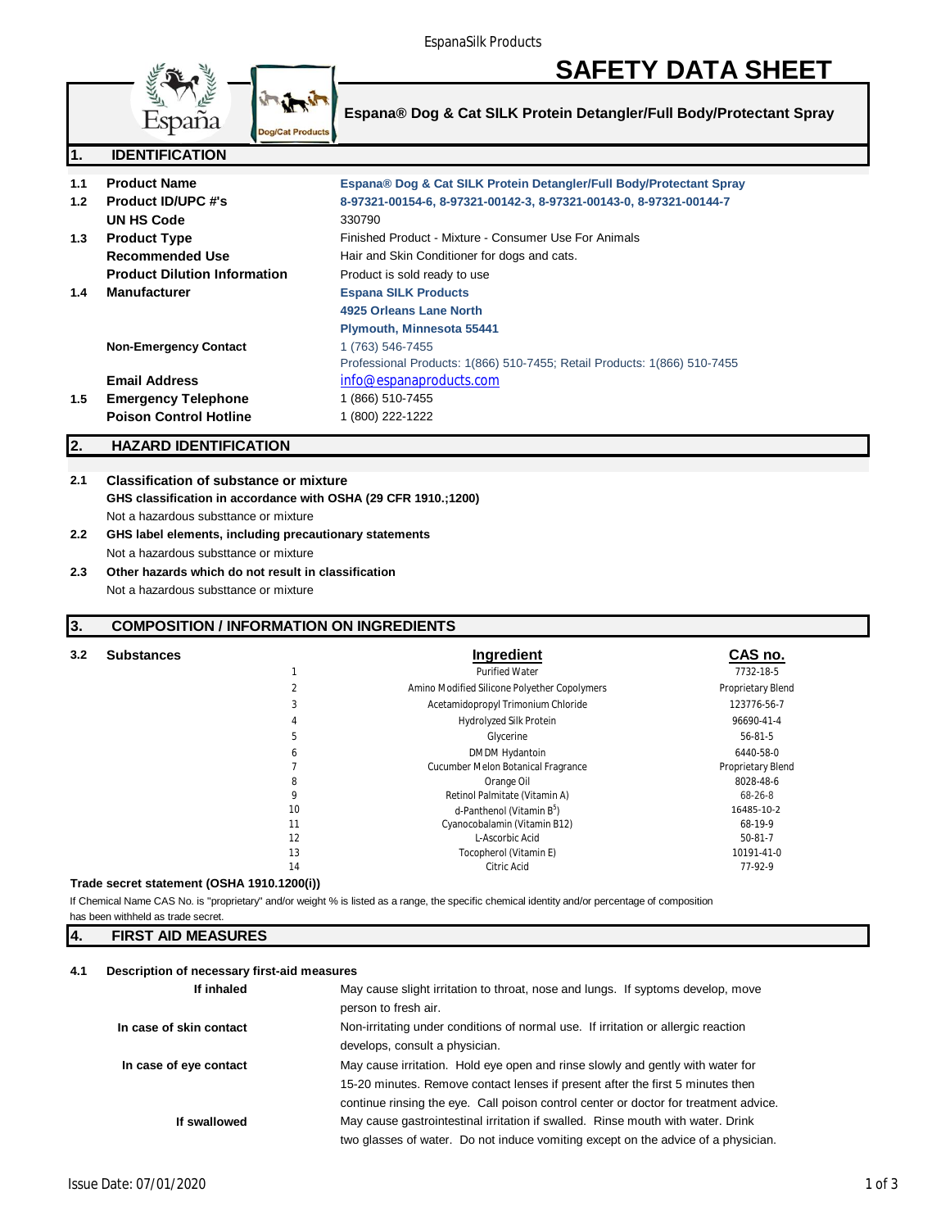# **SAFETY DATA SHEET**



**Espana® Dog & Cat SILK Protein Detangler/Full Body/Protectant Spray**

| 1.1 | <b>Product Name</b>                 | Espana® Dog & Cat SILK Protein Detangler/Full Body/Protectant Spray      |
|-----|-------------------------------------|--------------------------------------------------------------------------|
| 1.2 | <b>Product ID/UPC #'s</b>           | 8-97321-00154-6, 8-97321-00142-3, 8-97321-00143-0, 8-97321-00144-7       |
|     | UN HS Code                          | 330790                                                                   |
| 1.3 | <b>Product Type</b>                 | Finished Product - Mixture - Consumer Use For Animals                    |
|     | Recommended Use                     | Hair and Skin Conditioner for dogs and cats.                             |
|     | <b>Product Dilution Information</b> | Product is sold ready to use                                             |
| 1.4 | <b>Manufacturer</b>                 | <b>Espana SILK Products</b>                                              |
|     |                                     | 4925 Orleans Lane North                                                  |
|     |                                     | Plymouth, Minnesota 55441                                                |
|     | <b>Non-Emergency Contact</b>        | 1 (763) 546-7455                                                         |
|     |                                     | Professional Products: 1(866) 510-7455; Retail Products: 1(866) 510-7455 |
|     | <b>Email Address</b>                | info@espanaproducts.com                                                  |
| 1.5 | <b>Emergency Telephone</b>          | 1 (866) 510-7455                                                         |
|     | <b>Poison Control Hotline</b>       | 1 (800) 222-1222                                                         |
|     |                                     |                                                                          |

# **2. HAZARD IDENTIFICATION**

## **2.1 Classification of substance or mixture GHS classification in accordance with OSHA (29 CFR 1910.;1200)** Not a hazardous substtance or mixture

- **2.2 GHS label elements, including precautionary statements** Not a hazardous substtance or mixture
- **2.3 Other hazards which do not result in classification** Not a hazardous substtance or mixture

## **3. COMPOSITION / INFORMATION ON INGREDIENTS**

| 3.2 | <b>Substances</b> |  | <b>Ingredient</b>                            | CAS no.         |  |
|-----|-------------------|--|----------------------------------------------|-----------------|--|
|     |                   |  | <b>Purified Water</b>                        | 7732-18-5       |  |
|     |                   |  | Amino Modified Silicone Polyether Copolymers | Proprietary Ble |  |
|     |                   |  | Acetamidopropyl Trimonium Chloride           | 123776-56-7     |  |
|     |                   |  | Hydrolyzed Silk Protein                      | 96690-41-4      |  |

| 1              | <b>Purified Water</b>                        | 7732-18-5         |
|----------------|----------------------------------------------|-------------------|
| $\overline{2}$ | Amino Modified Silicone Polyether Copolymers | Proprietary Blend |
| 3              | Acetamidopropyl Trimonium Chloride           | 123776-56-7       |
| $\overline{4}$ | <b>Hydrolyzed Silk Protein</b>               | 96690-41-4        |
| 5              | Glycerine                                    | 56-81-5           |
| 6              | <b>DMDM Hydantoin</b>                        | 6440-58-0         |
| $\overline{7}$ | Cucumber Melon Botanical Fragrance           | Proprietary Blend |
| 8              | Orange Oil                                   | 8028-48-6         |
| 9              | Retinol Palmitate (Vitamin A)                | 68-26-8           |
| 10             | d-Panthenol (Vitamin B <sup>5</sup> )        | 16485-10-2        |
| 11             | Cyanocobalamin (Vitamin B12)                 | 68-19-9           |
| 12             | L-Ascorbic Acid                              | 50-81-7           |
| 13             | Tocopherol (Vitamin E)                       | 10191-41-0        |
| 14             | Citric Acid                                  | 77-92-9           |
|                |                                              |                   |

## **Trade secret statement (OSHA 1910.1200(i))**

If Chemical Name CAS No. is "proprietary" and/or weight % is listed as a range, the specific chemical identity and/or percentage of composition has been withheld as trade secret.

# **4. FIRST AID MEASURES**

## **4.1 Description of necessary first-aid measures**

| If inhaled              | May cause slight irritation to throat, nose and lungs. If syptoms develop, move      |  |
|-------------------------|--------------------------------------------------------------------------------------|--|
|                         | person to fresh air.                                                                 |  |
| In case of skin contact | Non-irritating under conditions of normal use. If irritation or allergic reaction    |  |
|                         | develops, consult a physician.                                                       |  |
| In case of eye contact  | May cause irritation. Hold eye open and rinse slowly and gently with water for       |  |
|                         | 15-20 minutes. Remove contact lenses if present after the first 5 minutes then       |  |
|                         | continue rinsing the eye. Call poison control center or doctor for treatment advice. |  |
| If swallowed            | May cause gastrointestinal irritation if swalled. Rinse mouth with water. Drink      |  |
|                         | two glasses of water. Do not induce vomiting except on the advice of a physician.    |  |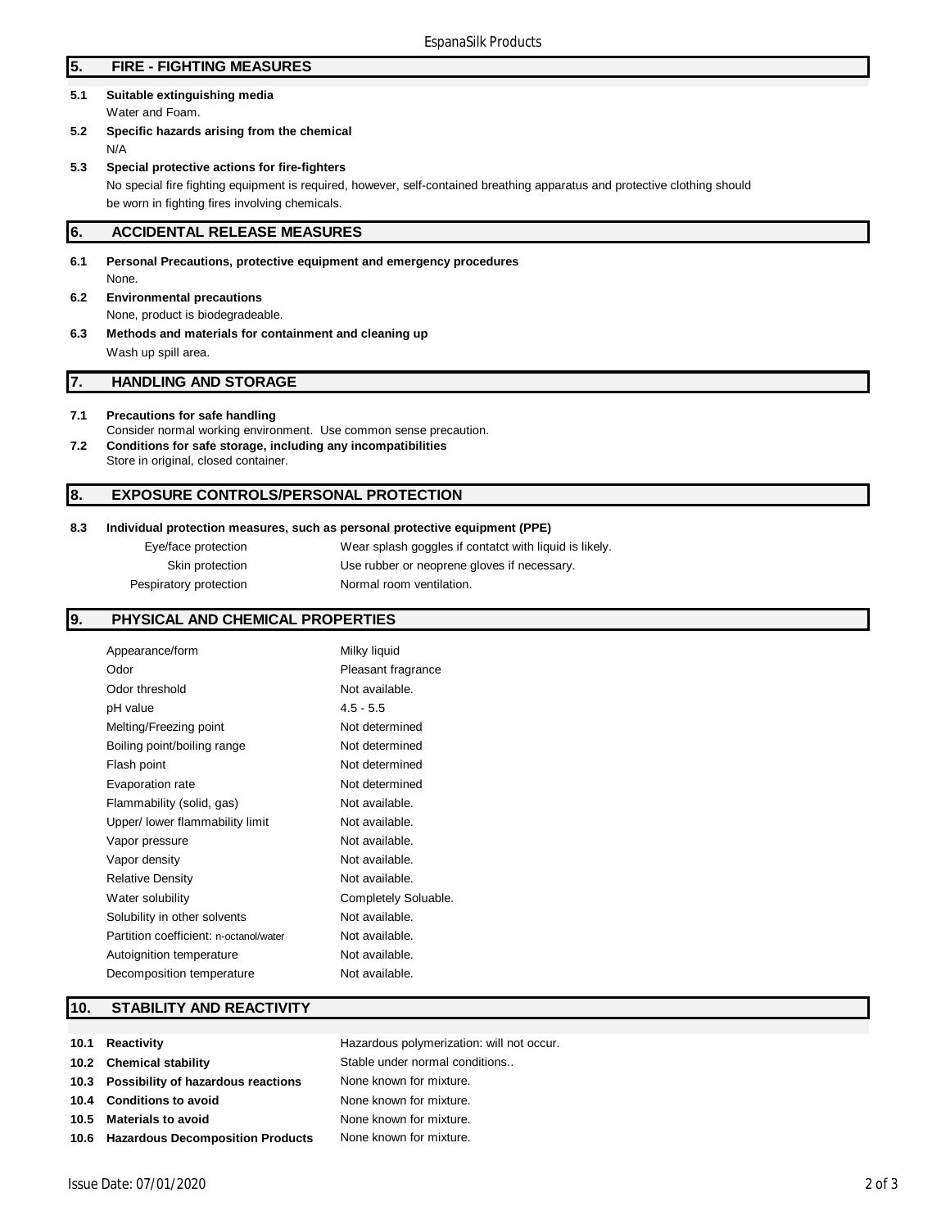# **5. FIRE - FIGHTING MEASURES**

- **5.1 Suitable extinguishing media** Water and Foam.
- **5.2 Specific hazards arising from the chemical** N/A

#### **5.3 Special protective actions for fire-fighters**

No special fire fighting equipment is required, however, self-contained breathing apparatus and protective clothing should be worn in fighting fires involving chemicals.

### **6. ACCIDENTAL RELEASE MEASURES**

- **6.1 Personal Precautions, protective equipment and emergency procedures** None.
- **6.2 Environmental precautions** None, product is biodegradeable.
- **6.3 Methods and materials for containment and cleaning up**

Wash up spill area.

## **7. HANDLING AND STORAGE**

#### **7.1 Precautions for safe handling**

- Consider normal working environment. Use common sense precaution.
- **7.2 Conditions for safe storage, including any incompatibilities** Store in original, closed container.

## **8. EXPOSURE CONTROLS/PERSONAL PROTECTION**

#### **8.3 Individual protection measures, such as personal protective equipment (PPE)**

Eye/face protection Wear splash goggles if contatct with liquid is likely. Skin protection Use rubber or neoprene gloves if necessary. Pespiratory protection Normal room ventilation.

## **9. PHYSICAL AND CHEMICAL PROPERTIES**

| Appearance/form                        | Milky liquid         |
|----------------------------------------|----------------------|
| Odor                                   | Pleasant fragrance   |
| Odor threshold                         | Not available.       |
| pH value                               | $4.5 - 5.5$          |
| Melting/Freezing point                 | Not determined       |
| Boiling point/boiling range            | Not determined       |
| Flash point                            | Not determined       |
| Evaporation rate                       | Not determined       |
| Flammability (solid, gas)              | Not available.       |
| Upper/ lower flammability limit        | Not available.       |
| Vapor pressure                         | Not available.       |
| Vapor density                          | Not available.       |
| <b>Relative Density</b>                | Not available.       |
| Water solubility                       | Completely Soluable. |
| Solubility in other solvents           | Not available.       |
| Partition coefficient: n-octanol/water | Not available.       |
| Autoignition temperature               | Not available.       |
| Decomposition temperature              | Not available.       |

# **10. STABILITY AND REACTIVITY**

| 10.1 Reactivity                         | Hazardous polymerization: will not occur. |
|-----------------------------------------|-------------------------------------------|
| 10.2 Chemical stability                 | Stable under normal conditions            |
| 10.3 Possibility of hazardous reactions | None known for mixture.                   |
| 10.4 Conditions to avoid                | None known for mixture.                   |
| 10.5 Materials to avoid                 | None known for mixture.                   |
| 10.6 Hazardous Decomposition Products   | None known for mixture.                   |
|                                         |                                           |